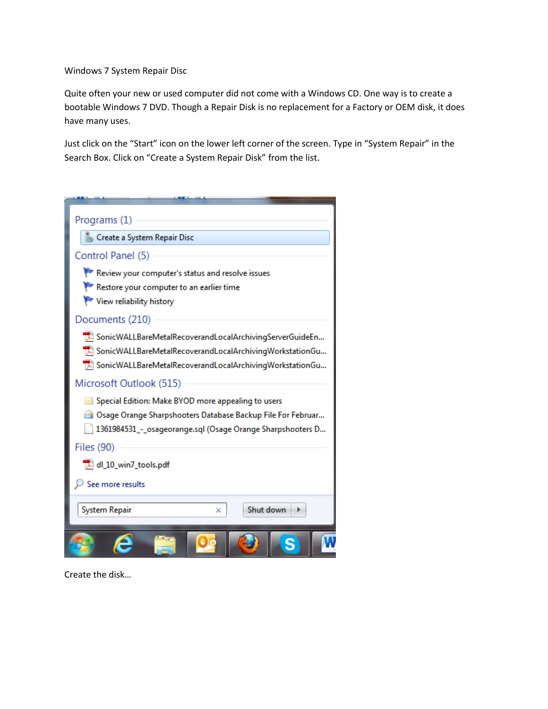Windows 7 System Repair Disc

Quite often your new or used computer did not come with a Windows CD. One way is to create a bootable Windows 7 DVD. Though a Repair Disk is no replacement for a Factory or OEM disk, it does have many uses.

Just click on the "Start" icon on the lower left corner of the screen. Type in "System Repair" in the Search Box. Click on "Create a System Repair Disk" from the list.

| Programs (1)                                                                                                              |  |  |  |  |  |
|---------------------------------------------------------------------------------------------------------------------------|--|--|--|--|--|
| Create a System Repair Disc                                                                                               |  |  |  |  |  |
| Control Panel (5)                                                                                                         |  |  |  |  |  |
| Review your computer's status and resolve issues                                                                          |  |  |  |  |  |
| Restore your computer to an earlier time                                                                                  |  |  |  |  |  |
| View reliability history                                                                                                  |  |  |  |  |  |
| Documents (210)                                                                                                           |  |  |  |  |  |
| > SonicWALLBareMetalRecoverandLocalArchivingServerGuideEn                                                                 |  |  |  |  |  |
| >> SonicWALLBareMetalRecoverandLocalArchivingWorkstationGu                                                                |  |  |  |  |  |
| TA SonicWALLBareMetalRecoverandLocalArchivingWorkstationGu                                                                |  |  |  |  |  |
| Microsoft Outlook (515)                                                                                                   |  |  |  |  |  |
| Special Edition: Make BYOD more appealing to users                                                                        |  |  |  |  |  |
| Osage Orange Sharpshooters Database Backup File For Februar<br>1361984531_-_osageorange.sql (Osage Orange Sharpshooters D |  |  |  |  |  |
| <b>Files (90)</b>                                                                                                         |  |  |  |  |  |
| dl_10_win7_tools.pdf                                                                                                      |  |  |  |  |  |
| See more results                                                                                                          |  |  |  |  |  |
| Shut down<br>System Repair<br>×                                                                                           |  |  |  |  |  |
|                                                                                                                           |  |  |  |  |  |

Create the disk…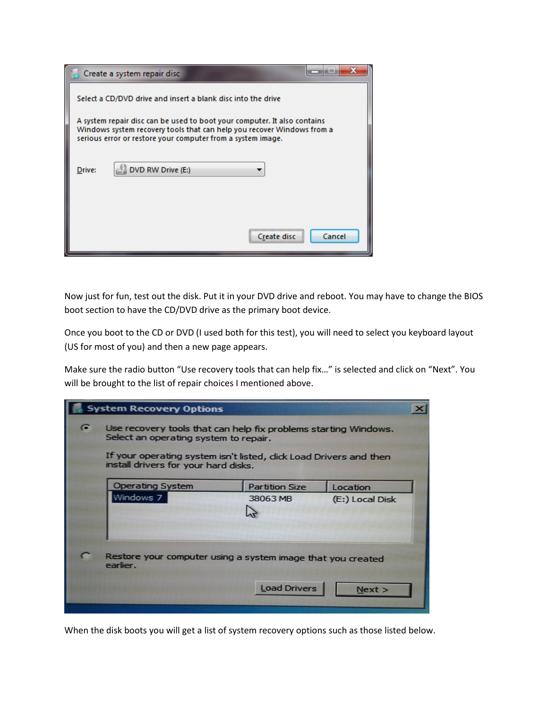|                                                                                                                                                                                                                   | Create a system repair disc                                  |  |  |  |  |
|-------------------------------------------------------------------------------------------------------------------------------------------------------------------------------------------------------------------|--------------------------------------------------------------|--|--|--|--|
|                                                                                                                                                                                                                   | Select a CD/DVD drive and insert a blank disc into the drive |  |  |  |  |
| A system repair disc can be used to boot your computer. It also contains<br>Windows system recovery tools that can help you recover Windows from a<br>serious error or restore your computer from a system image. |                                                              |  |  |  |  |
| Drive:                                                                                                                                                                                                            | DVD RW Drive (E:)                                            |  |  |  |  |
|                                                                                                                                                                                                                   | Cancel                                                       |  |  |  |  |

Now just for fun, test out the disk. Put it in your DVD drive and reboot. You may have to change the BIOS boot section to have the CD/DVD drive as the primary boot device.

Once you boot to the CD or DVD (I used both for this test), you will need to select you keyboard layout (US for most of you) and then a new page appears.

Make sure the radio button "Use recovery tools that can help fix…" is selected and click on "Next". You will be brought to the list of repair choices I mentioned above.

| <b>System Recovery Options</b>                                                                            |                                                                                                          |                       |                 |  |  |  |
|-----------------------------------------------------------------------------------------------------------|----------------------------------------------------------------------------------------------------------|-----------------------|-----------------|--|--|--|
| $\epsilon$                                                                                                | Use recovery tools that can help fix problems starting Windows.<br>Select an operating system to repair. |                       |                 |  |  |  |
| If your operating system isn't listed, dick Load Drivers and then<br>install drivers for your hard disks. |                                                                                                          |                       |                 |  |  |  |
| <b>Operating System</b>                                                                                   |                                                                                                          | <b>Partition Size</b> | Location        |  |  |  |
| Windows 7                                                                                                 |                                                                                                          | 38063 MB              | (E:) Local Disk |  |  |  |
| Restore your computer using a system image that you created<br>earlier.                                   |                                                                                                          |                       |                 |  |  |  |
|                                                                                                           |                                                                                                          | <b>Load Drivers</b>   | Next >          |  |  |  |

When the disk boots you will get a list of system recovery options such as those listed below.